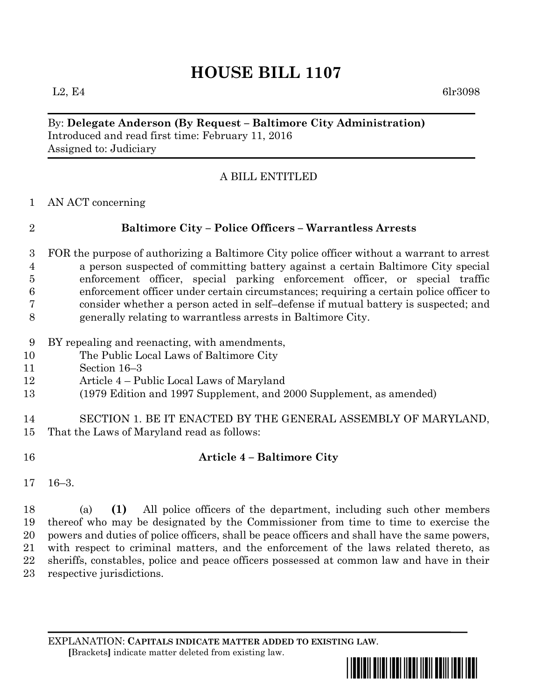# **HOUSE BILL 1107**

 $L2, E4$  6lr3098

By: **Delegate Anderson (By Request – Baltimore City Administration)** Introduced and read first time: February 11, 2016 Assigned to: Judiciary

#### A BILL ENTITLED

AN ACT concerning

## **Baltimore City – Police Officers – Warrantless Arrests**

 FOR the purpose of authorizing a Baltimore City police officer without a warrant to arrest a person suspected of committing battery against a certain Baltimore City special enforcement officer, special parking enforcement officer, or special traffic enforcement officer under certain circumstances; requiring a certain police officer to consider whether a person acted in self–defense if mutual battery is suspected; and generally relating to warrantless arrests in Baltimore City.

- BY repealing and reenacting, with amendments,
- The Public Local Laws of Baltimore City
- Section 16–3
- Article 4 Public Local Laws of Maryland
- (1979 Edition and 1997 Supplement, and 2000 Supplement, as amended)

 SECTION 1. BE IT ENACTED BY THE GENERAL ASSEMBLY OF MARYLAND, That the Laws of Maryland read as follows:

### **Article 4 – Baltimore City**

16–3.

 (a) **(1)** All police officers of the department, including such other members thereof who may be designated by the Commissioner from time to time to exercise the powers and duties of police officers, shall be peace officers and shall have the same powers, with respect to criminal matters, and the enforcement of the laws related thereto, as sheriffs, constables, police and peace officers possessed at common law and have in their respective jurisdictions.

EXPLANATION: **CAPITALS INDICATE MATTER ADDED TO EXISTING LAW**.  **[**Brackets**]** indicate matter deleted from existing law.

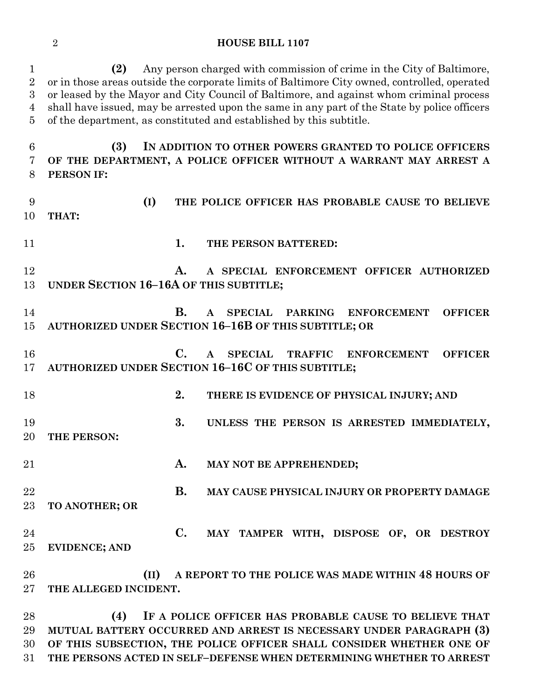#### **HOUSE BILL 1107**

 **(2)** Any person charged with commission of crime in the City of Baltimore, or in those areas outside the corporate limits of Baltimore City owned, controlled, operated or leased by the Mayor and City Council of Baltimore, and against whom criminal process shall have issued, may be arrested upon the same in any part of the State by police officers of the department, as constituted and established by this subtitle.

 **(3) IN ADDITION TO OTHER POWERS GRANTED TO POLICE OFFICERS OF THE DEPARTMENT, A POLICE OFFICER WITHOUT A WARRANT MAY ARREST A PERSON IF:**

 **(I) THE POLICE OFFICER HAS PROBABLE CAUSE TO BELIEVE THAT: 1. THE PERSON BATTERED: A. A SPECIAL ENFORCEMENT OFFICER AUTHORIZED UNDER SECTION 16–16A OF THIS SUBTITLE; B. A SPECIAL PARKING ENFORCEMENT OFFICER AUTHORIZED UNDER SECTION 16–16B OF THIS SUBTITLE; OR C. A SPECIAL TRAFFIC ENFORCEMENT OFFICER AUTHORIZED UNDER SECTION 16–16C OF THIS SUBTITLE; 2. THERE IS EVIDENCE OF PHYSICAL INJURY; AND 3. UNLESS THE PERSON IS ARRESTED IMMEDIATELY, THE PERSON: A. MAY NOT BE APPREHENDED; B. MAY CAUSE PHYSICAL INJURY OR PROPERTY DAMAGE TO ANOTHER; OR C. MAY TAMPER WITH, DISPOSE OF, OR DESTROY EVIDENCE; AND (II) A REPORT TO THE POLICE WAS MADE WITHIN 48 HOURS OF THE ALLEGED INCIDENT.**

 **(4) IF A POLICE OFFICER HAS PROBABLE CAUSE TO BELIEVE THAT MUTUAL BATTERY OCCURRED AND ARREST IS NECESSARY UNDER PARAGRAPH (3) OF THIS SUBSECTION, THE POLICE OFFICER SHALL CONSIDER WHETHER ONE OF THE PERSONS ACTED IN SELF–DEFENSE WHEN DETERMINING WHETHER TO ARREST**